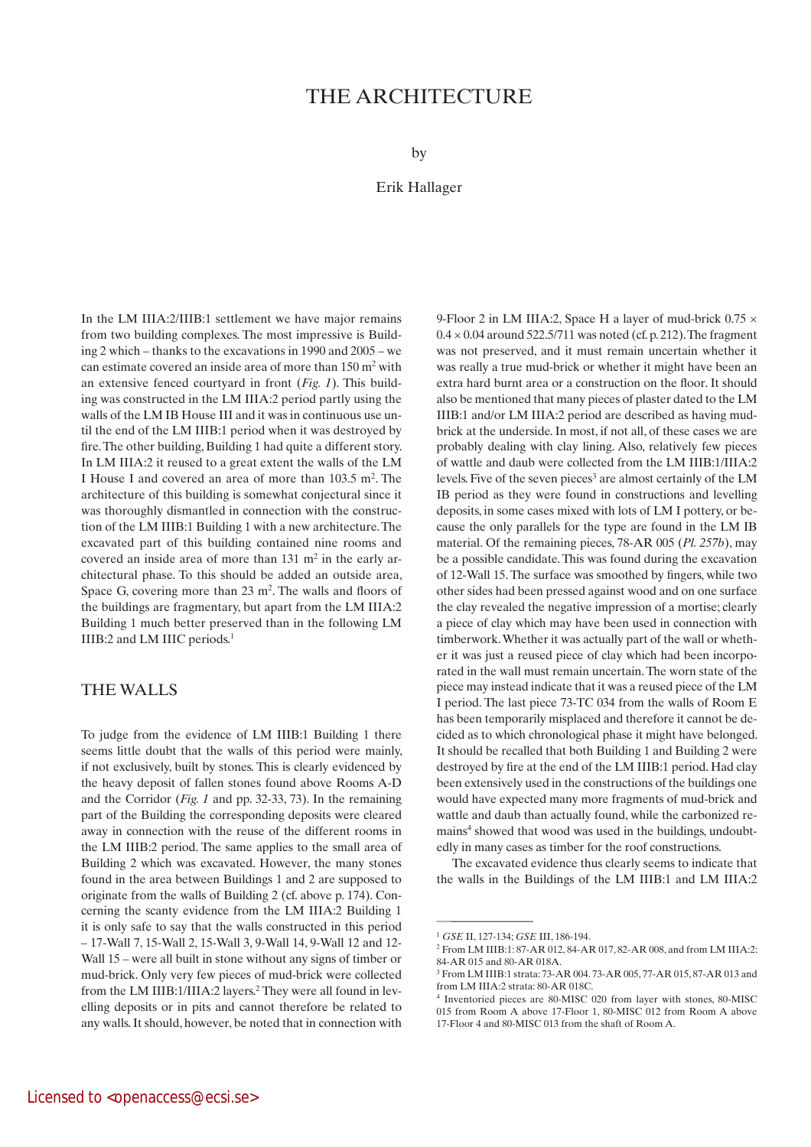# THE Architecture

by

## Erik Hallager

In the LM IIIA:2/IIIB:1 settlement we have major remains from two building complexes. The most impressive is Building 2 which – thanks to the excavations in 1990 and 2005 – we can estimate covered an inside area of more than 150 m2 with an extensive fenced courtyard in front (*Fig. 1*). This building was constructed in the LM IIIA:2 period partly using the walls of the LM IB House III and it was in continuous use until the end of the LM IIIB:1 period when it was destroyed by fire. The other building, Building 1 had quite a different story. In LM IIIA:2 it reused to a great extent the walls of the LM I House I and covered an area of more than 103.5 m<sup>2</sup>. The architecture of this building is somewhat conjectural since it was thoroughly dismantled in connection with the construction of the LM IIIB:1 Building 1 with a new architecture. The excavated part of this building contained nine rooms and covered an inside area of more than 131 m<sup>2</sup> in the early architectural phase. To this should be added an outside area, Space G, covering more than 23 m<sup>2</sup>. The walls and floors of the buildings are fragmentary, but apart from the LM IIIA:2 Building 1 much better preserved than in the following LM IIIB:2 and LM IIIC periods.<sup>1</sup>

# The walls

To judge from the evidence of LM IIIB:1 Building 1 there seems little doubt that the walls of this period were mainly, if not exclusively, built by stones. This is clearly evidenced by the heavy deposit of fallen stones found above Rooms A-D and the Corridor (*Fig. 1* and pp. 32-33, 73). In the remaining part of the Building the corresponding deposits were cleared away in connection with the reuse of the different rooms in the LM IIIB:2 period. The same applies to the small area of Building 2 which was excavated. However, the many stones found in the area between Buildings 1 and 2 are supposed to originate from the walls of Building 2 (cf. above p. 174). Concerning the scanty evidence from the LM IIIA:2 Building 1 it is only safe to say that the walls constructed in this period – 17-Wall 7, 15-Wall 2, 15-Wall 3, 9-Wall 14, 9-Wall 12 and 12- Wall 15 – were all built in stone without any signs of timber or mud-brick. Only very few pieces of mud-brick were collected from the LM IIIB:1/IIIA:2 layers.<sup>2</sup> They were all found in levelling deposits or in pits and cannot therefore be related to any walls. It should, however, be noted that in connection with

9-Floor 2 in LM IIIA:2, Space H a layer of mud-brick 0.75  $\times$  $0.4 \times 0.04$  around 522.5/711 was noted (cf. p. 212). The fragment was not preserved, and it must remain uncertain whether it was really a true mud-brick or whether it might have been an extra hard burnt area or a construction on the floor. It should also be mentioned that many pieces of plaster dated to the LM IIIB:1 and/or LM IIIA:2 period are described as having mudbrick at the underside. In most, if not all, of these cases we are probably dealing with clay lining. Also, relatively few pieces of wattle and daub were collected from the LM IIIB:1/IIIA:2 levels. Five of the seven pieces<sup>3</sup> are almost certainly of the LM IB period as they were found in constructions and levelling deposits, in some cases mixed with lots of LM I pottery, or because the only parallels for the type are found in the LM IB material. Of the remaining pieces, 78-AR 005 (*Pl. 257b*), may be a possible candidate. This was found during the excavation of 12-Wall 15. The surface was smoothed by fingers, while two other sides had been pressed against wood and on one surface the clay revealed the negative impression of a mortise; clearly a piece of clay which may have been used in connection with timberwork. Whether it was actually part of the wall or whether it was just a reused piece of clay which had been incorporated in the wall must remain uncertain. The worn state of the piece may instead indicate that it was a reused piece of the LM I period. The last piece 73-TC 034 from the walls of Room E has been temporarily misplaced and therefore it cannot be decided as to which chronological phase it might have belonged. It should be recalled that both Building 1 and Building 2 were destroyed by fire at the end of the LM IIIB:1 period. Had clay been extensively used in the constructions of the buildings one would have expected many more fragments of mud-brick and wattle and daub than actually found, while the carbonized remains<sup>4</sup> showed that wood was used in the buildings, undoubtedly in many cases as timber for the roof constructions.

The excavated evidence thus clearly seems to indicate that the walls in the Buildings of the LM IIIB:1 and LM IIIA:2

<sup>1</sup> *GSE* II, 127-134; *GSE* III, 186-194.

<sup>2</sup> From LM IIIB:1: 87-AR 012, 84-AR 017, 82-AR 008, and from LM IIIA:2: 84-AR 015 and 80-AR 018A.

<sup>3</sup> From LM IIIB:1 strata: 73-AR 004. 73-AR 005, 77-AR 015, 87-AR 013 and from LM IIIA:2 strata: 80-AR 018C.

<sup>4</sup> Inventoried pieces are 80-MISC 020 from layer with stones, 80-MISC 015 from Room A above 17-Floor 1, 80-MISC 012 from Room A above 17-Floor 4 and 80-MISC 013 from the shaft of Room A.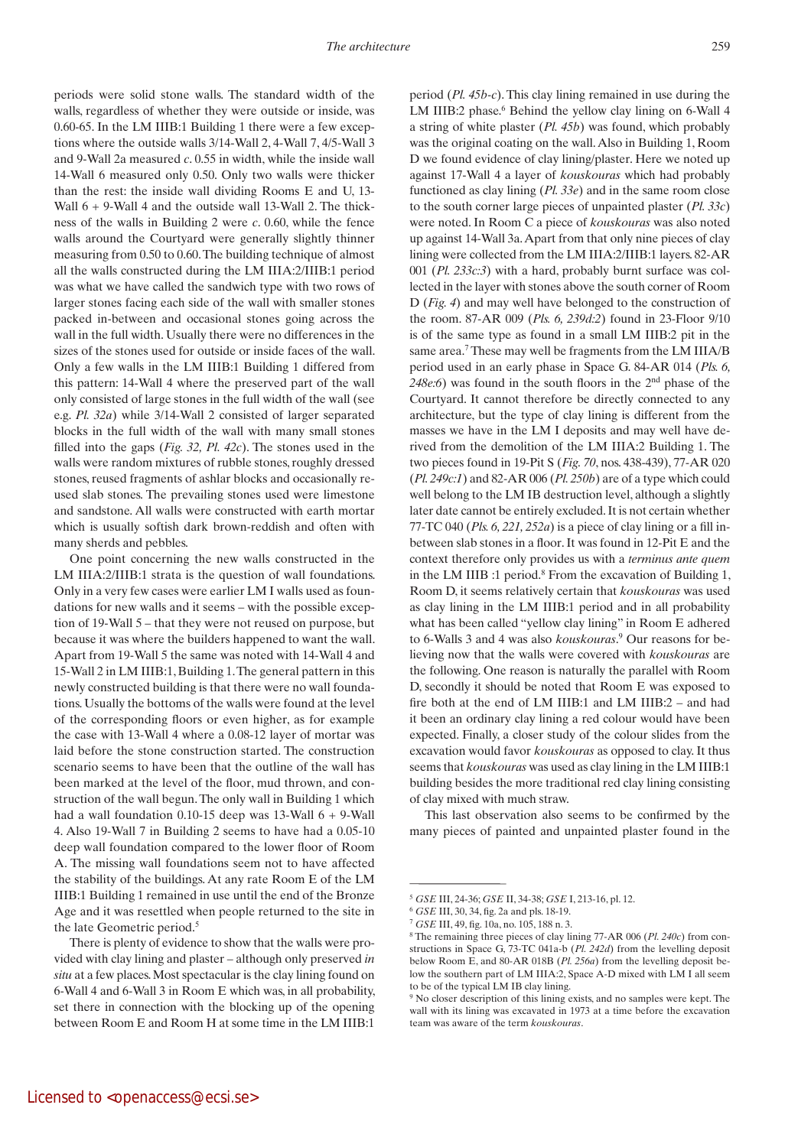periods were solid stone walls. The standard width of the walls, regardless of whether they were outside or inside, was 0.60-65. In the LM IIIB:1 Building 1 there were a few exceptions where the outside walls 3/14-Wall 2, 4-Wall 7, 4/5-Wall 3 and 9-Wall 2a measured *c*. 0.55 in width, while the inside wall 14-Wall 6 measured only 0.50. Only two walls were thicker than the rest: the inside wall dividing Rooms E and U, 13- Wall  $6 + 9$ -Wall 4 and the outside wall 13-Wall 2. The thickness of the walls in Building 2 were *c*. 0.60, while the fence walls around the Courtyard were generally slightly thinner measuring from 0.50 to 0.60. The building technique of almost all the walls constructed during the LM IIIA:2/IIIB:1 period was what we have called the sandwich type with two rows of larger stones facing each side of the wall with smaller stones packed in-between and occasional stones going across the wall in the full width. Usually there were no differences in the sizes of the stones used for outside or inside faces of the wall. Only a few walls in the LM IIIB:1 Building 1 differed from this pattern: 14-Wall 4 where the preserved part of the wall only consisted of large stones in the full width of the wall (see e.g. *Pl. 32a*) while 3/14-Wall 2 consisted of larger separated blocks in the full width of the wall with many small stones filled into the gaps (*Fig. 32, Pl. 42c*). The stones used in the walls were random mixtures of rubble stones, roughly dressed stones, reused fragments of ashlar blocks and occasionally reused slab stones. The prevailing stones used were limestone and sandstone. All walls were constructed with earth mortar which is usually softish dark brown-reddish and often with many sherds and pebbles.

One point concerning the new walls constructed in the LM IIIA:2/IIIB:1 strata is the question of wall foundations. Only in a very few cases were earlier LM I walls used as foundations for new walls and it seems – with the possible exception of 19-Wall 5 – that they were not reused on purpose, but because it was where the builders happened to want the wall. Apart from 19-Wall 5 the same was noted with 14-Wall 4 and 15-Wall 2 in LM IIIB:1, Building 1. The general pattern in this newly constructed building is that there were no wall foundations. Usually the bottoms of the walls were found at the level of the corresponding floors or even higher, as for example the case with 13-Wall 4 where a 0.08-12 layer of mortar was laid before the stone construction started. The construction scenario seems to have been that the outline of the wall has been marked at the level of the floor, mud thrown, and construction of the wall begun. The only wall in Building 1 which had a wall foundation  $0.10$ -15 deep was 13-Wall  $6 + 9$ -Wall 4. Also 19-Wall 7 in Building 2 seems to have had a 0.05-10 deep wall foundation compared to the lower floor of Room A. The missing wall foundations seem not to have affected the stability of the buildings. At any rate Room E of the LM IIIB:1 Building 1 remained in use until the end of the Bronze Age and it was resettled when people returned to the site in the late Geometric period.<sup>5</sup>

period (*Pl. 45b-c*). This clay lining remained in use during the LM IIIB:2 phase.<sup>6</sup> Behind the yellow clay lining on 6-Wall 4 a string of white plaster (*Pl. 45b*) was found, which probably was the original coating on the wall. Also in Building 1, Room D we found evidence of clay lining/plaster. Here we noted up against 17-Wall 4 a layer of *kouskouras* which had probably functioned as clay lining (*Pl. 33e*) and in the same room close to the south corner large pieces of unpainted plaster (*Pl. 33c*) were noted. In Room C a piece of *kouskouras* was also noted up against 14-Wall 3a. Apart from that only nine pieces of clay lining were collected from the LM IIIA:2/IIIB:1 layers. 82-AR 001 (*Pl. 233c:3*) with a hard, probably burnt surface was collected in the layer with stones above the south corner of Room D (*Fig. 4*) and may well have belonged to the construction of the room. 87-AR 009 (*Pls. 6, 239d:2*) found in 23-Floor 9/10 is of the same type as found in a small LM IIIB:2 pit in the same area.<sup>7</sup> These may well be fragments from the LM IIIA/B period used in an early phase in Space G. 84-AR 014 (*Pls. 6, 248e:6*) was found in the south floors in the 2nd phase of the Courtyard. It cannot therefore be directly connected to any architecture, but the type of clay lining is different from the masses we have in the LM I deposits and may well have derived from the demolition of the LM IIIA:2 Building 1. The two pieces found in 19-Pit S (*Fig. 70*, nos. 438-439), 77-AR 020 (*Pl. 249c:1*) and 82-AR 006 (*Pl. 250b*) are of a type which could well belong to the LM IB destruction level, although a slightly later date cannot be entirely excluded. It is not certain whether 77-TC 040 (*Pls. 6, 221, 252a*) is a piece of clay lining or a fill inbetween slab stones in a floor. It was found in 12-Pit E and the context therefore only provides us with a *terminus ante quem* in the LM IIIB :1 period.<sup>8</sup> From the excavation of Building 1, Room D, it seems relatively certain that *kouskouras* was used as clay lining in the LM IIIB:1 period and in all probability what has been called "yellow clay lining" in Room E adhered to 6-Walls 3 and 4 was also *kouskouras*. 9 Our reasons for believing now that the walls were covered with *kouskouras* are the following. One reason is naturally the parallel with Room D, secondly it should be noted that Room E was exposed to fire both at the end of LM IIIB:1 and LM IIIB:2 – and had it been an ordinary clay lining a red colour would have been expected. Finally, a closer study of the colour slides from the excavation would favor *kouskouras* as opposed to clay. It thus seems that *kouskouras* was used as clay lining in the LM IIIB:1 building besides the more traditional red clay lining consisting of clay mixed with much straw.

This last observation also seems to be confirmed by the many pieces of painted and unpainted plaster found in the

There is plenty of evidence to show that the walls were provided with clay lining and plaster – although only preserved *in situ* at a few places. Most spectacular is the clay lining found on 6-Wall 4 and 6-Wall 3 in Room E which was, in all probability, set there in connection with the blocking up of the opening between Room E and Room H at some time in the LM IIIB:1

<sup>5</sup> *GSE* III, 24-36; *GSE* II, 34-38; *GSE* I, 213-16, pl. 12.

<sup>6</sup> *GSE* III, 30, 34, fig. 2a and pls. 18-19.

<sup>7</sup> *GSE* III, 49, fig. 10a, no. 105, 188 n. 3.

<sup>8</sup> The remaining three pieces of clay lining 77-AR 006 (*Pl. 240c*) from constructions in Space G, 73-TC 041a-b (*Pl. 242d*) from the levelling deposit below Room E, and 80-AR 018B (*Pl. 256a*) from the levelling deposit below the southern part of LM IIIA:2, Space A-D mixed with LM I all seem to be of the typical LM IB clay lining.

<sup>9</sup> No closer description of this lining exists, and no samples were kept. The wall with its lining was excavated in 1973 at a time before the excavation team was aware of the term *kouskouras*.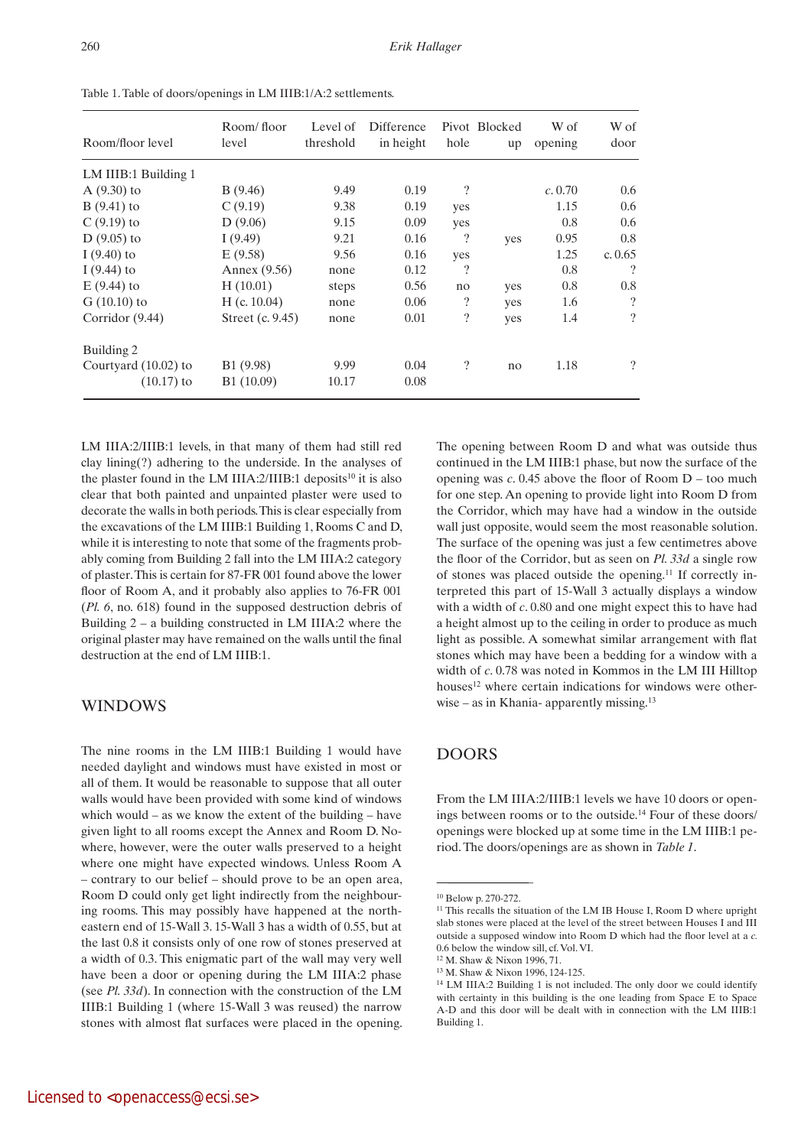| Room/floor level       | Room/floor<br>level | Level of<br>threshold | Difference<br>in height | hole                     | Pivot Blocked<br>up | W of<br>opening | W of<br>door             |
|------------------------|---------------------|-----------------------|-------------------------|--------------------------|---------------------|-----------------|--------------------------|
| LM IIIB:1 Building 1   |                     |                       |                         |                          |                     |                 |                          |
| $A(9.30)$ to           | B (9.46)            | 9.49                  | 0.19                    | $\overline{\mathcal{L}}$ |                     | c. 0.70         | 0.6                      |
| $B(9.41)$ to           | C(9.19)             | 9.38                  | 0.19                    | yes                      |                     | 1.15            | 0.6                      |
| $C(9.19)$ to           | D(9.06)             | 9.15                  | 0.09                    | yes                      |                     | 0.8             | 0.6                      |
| $D(9.05)$ to           | I(9.49)             | 9.21                  | 0.16                    | ?                        | yes                 | 0.95            | 0.8                      |
| I $(9.40)$ to          | E(9.58)             | 9.56                  | 0.16                    | yes                      |                     | 1.25            | c. $0.65$                |
| I $(9.44)$ to          | Annex (9.56)        | none                  | 0.12                    | $\overline{\cdot}$       |                     | 0.8             | $\overline{\mathcal{L}}$ |
| $E(9.44)$ to           | H(10.01)            | steps                 | 0.56                    | no                       | yes                 | 0.8             | 0.8                      |
| $G(10.10)$ to          | H (c. 10.04)        | none                  | 0.06                    | $\overline{\cdot}$       | yes                 | 1.6             | $\overline{\cdot}$       |
| Corridor $(9.44)$      | Street (c. 9.45)    | none                  | 0.01                    | ?                        | yes                 | 1.4             | $\overline{\mathcal{L}}$ |
| Building 2             |                     |                       |                         |                          |                     |                 |                          |
| Courtyard $(10.02)$ to | B1 (9.98)           | 9.99                  | 0.04                    | $\overline{\phantom{a}}$ | no                  | 1.18            | $\gamma$                 |
| $(10.17)$ to           | B1 (10.09)          | 10.17                 | 0.08                    |                          |                     |                 |                          |

Table 1. Table of doors/openings in LM IIIB:1/A:2 settlements.

LM IIIA:2/IIIB:1 levels, in that many of them had still red clay lining(?) adhering to the underside. In the analyses of the plaster found in the LM IIIA:2/IIIB:1 deposits<sup>10</sup> it is also clear that both painted and unpainted plaster were used to decorate the walls in both periods. This is clear especially from the excavations of the LM IIIB:1 Building 1, Rooms C and D, while it is interesting to note that some of the fragments probably coming from Building 2 fall into the LM IIIA:2 category of plaster. This is certain for 87-FR 001 found above the lower floor of Room A, and it probably also applies to 76-FR 001 (*Pl. 6*, no. 618) found in the supposed destruction debris of Building  $2 - a$  building constructed in LM IIIA:2 where the original plaster may have remained on the walls until the final destruction at the end of LM IIIB:1.

# **WINDOWS**

The nine rooms in the LM IIIB:1 Building 1 would have needed daylight and windows must have existed in most or all of them. It would be reasonable to suppose that all outer walls would have been provided with some kind of windows which would – as we know the extent of the building – have given light to all rooms except the Annex and Room D. Nowhere, however, were the outer walls preserved to a height where one might have expected windows. Unless Room A – contrary to our belief – should prove to be an open area, Room D could only get light indirectly from the neighbouring rooms. This may possibly have happened at the northeastern end of 15-Wall 3. 15-Wall 3 has a width of 0.55, but at the last 0.8 it consists only of one row of stones preserved at a width of 0.3. This enigmatic part of the wall may very well have been a door or opening during the LM IIIA:2 phase (see *Pl. 33d*). In connection with the construction of the LM IIIB:1 Building 1 (where 15-Wall 3 was reused) the narrow stones with almost flat surfaces were placed in the opening.

The opening between Room D and what was outside thus continued in the LM IIIB:1 phase, but now the surface of the opening was *c*. 0.45 above the floor of Room D – too much for one step. An opening to provide light into Room D from the Corridor, which may have had a window in the outside wall just opposite, would seem the most reasonable solution. The surface of the opening was just a few centimetres above the floor of the Corridor, but as seen on *Pl. 33d* a single row of stones was placed outside the opening.11 If correctly interpreted this part of 15-Wall 3 actually displays a window with a width of *c*. 0.80 and one might expect this to have had a height almost up to the ceiling in order to produce as much light as possible. A somewhat similar arrangement with flat stones which may have been a bedding for a window with a width of *c*. 0.78 was noted in Kommos in the LM III Hilltop houses<sup>12</sup> where certain indications for windows were otherwise – as in Khania- apparently missing.<sup>13</sup>

# Doors

From the LM IIIA:2/IIIB:1 levels we have 10 doors or openings between rooms or to the outside.<sup>14</sup> Four of these doors/ openings were blocked up at some time in the LM IIIB:1 period. The doors/openings are as shown in *Table 1*.

<sup>10</sup> Below p. 270-272.

 $11$  This recalls the situation of the LM IB House I, Room D where upright slab stones were placed at the level of the street between Houses I and III outside a supposed window into Room D which had the floor level at a *c.*  0.6 below the window sill, cf. Vol. VI.

<sup>12</sup> M. Shaw & Nixon 1996, 71.

<sup>13</sup> M. Shaw & Nixon 1996, 124-125.

<sup>14</sup> LM IIIA:2 Building 1 is not included. The only door we could identify with certainty in this building is the one leading from Space E to Space A-D and this door will be dealt with in connection with the LM IIIB:1 Building 1.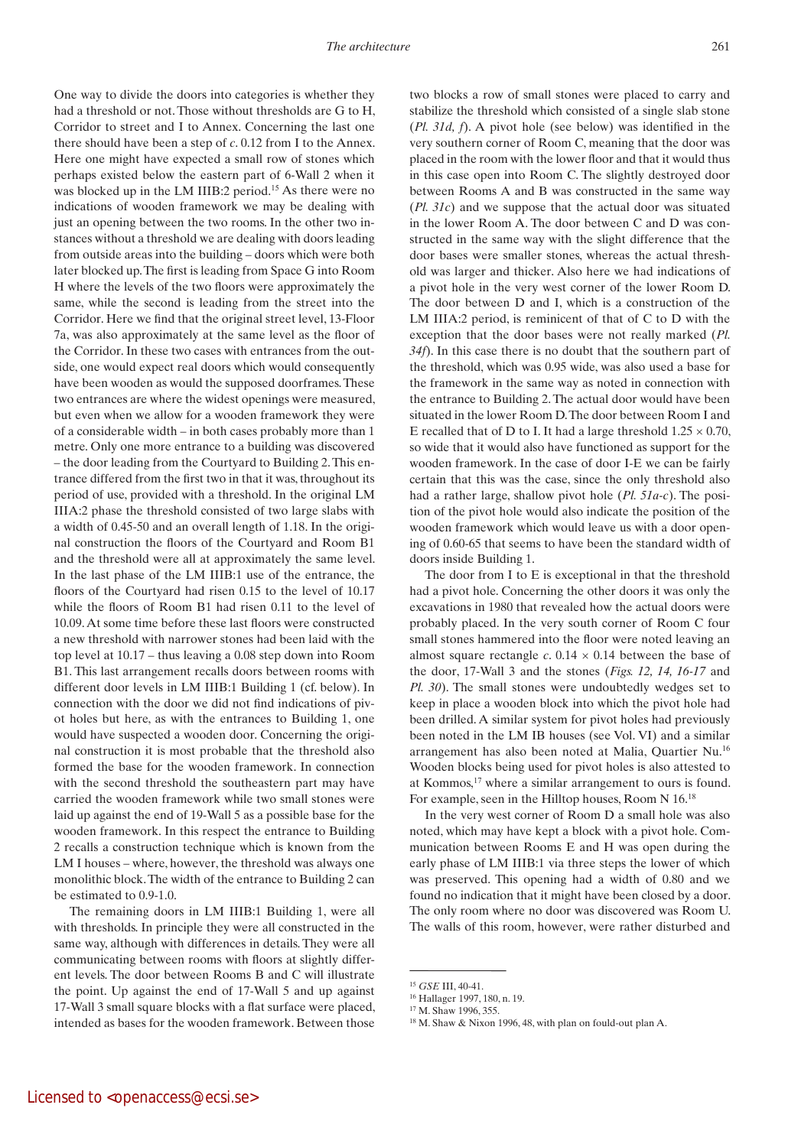One way to divide the doors into categories is whether they had a threshold or not. Those without thresholds are G to H, Corridor to street and I to Annex. Concerning the last one there should have been a step of *c*. 0.12 from I to the Annex. Here one might have expected a small row of stones which perhaps existed below the eastern part of 6-Wall 2 when it was blocked up in the LM IIIB:2 period.<sup>15</sup> As there were no indications of wooden framework we may be dealing with just an opening between the two rooms. In the other two instances without a threshold we are dealing with doors leading from outside areas into the building – doors which were both later blocked up. The first is leading from Space G into Room H where the levels of the two floors were approximately the same, while the second is leading from the street into the Corridor. Here we find that the original street level, 13-Floor 7a, was also approximately at the same level as the floor of the Corridor. In these two cases with entrances from the outside, one would expect real doors which would consequently have been wooden as would the supposed doorframes. These two entrances are where the widest openings were measured, but even when we allow for a wooden framework they were of a considerable width – in both cases probably more than 1 metre. Only one more entrance to a building was discovered – the door leading from the Courtyard to Building 2. This entrance differed from the first two in that it was, throughout its period of use, provided with a threshold. In the original LM IIIA:2 phase the threshold consisted of two large slabs with a width of 0.45-50 and an overall length of 1.18. In the original construction the floors of the Courtyard and Room B1 and the threshold were all at approximately the same level. In the last phase of the LM IIIB:1 use of the entrance, the floors of the Courtyard had risen 0.15 to the level of 10.17 while the floors of Room B1 had risen 0.11 to the level of 10.09. At some time before these last floors were constructed a new threshold with narrower stones had been laid with the top level at 10.17 – thus leaving a 0.08 step down into Room B1. This last arrangement recalls doors between rooms with different door levels in LM IIIB:1 Building 1 (cf. below). In connection with the door we did not find indications of pivot holes but here, as with the entrances to Building 1, one would have suspected a wooden door. Concerning the original construction it is most probable that the threshold also formed the base for the wooden framework. In connection with the second threshold the southeastern part may have carried the wooden framework while two small stones were laid up against the end of 19-Wall 5 as a possible base for the wooden framework. In this respect the entrance to Building 2 recalls a construction technique which is known from the LM I houses – where, however, the threshold was always one monolithic block. The width of the entrance to Building 2 can be estimated to 0.9-1.0.

The remaining doors in LM IIIB:1 Building 1, were all with thresholds. In principle they were all constructed in the same way, although with differences in details. They were all communicating between rooms with floors at slightly different levels. The door between Rooms B and C will illustrate the point. Up against the end of 17-Wall 5 and up against 17-Wall 3 small square blocks with a flat surface were placed, intended as bases for the wooden framework. Between those

two blocks a row of small stones were placed to carry and stabilize the threshold which consisted of a single slab stone (*Pl. 31d, f*). A pivot hole (see below) was identified in the very southern corner of Room C, meaning that the door was placed in the room with the lower floor and that it would thus in this case open into Room C. The slightly destroyed door between Rooms A and B was constructed in the same way (*Pl. 31c*) and we suppose that the actual door was situated in the lower Room A. The door between C and D was constructed in the same way with the slight difference that the door bases were smaller stones, whereas the actual threshold was larger and thicker. Also here we had indications of a pivot hole in the very west corner of the lower Room D. The door between D and I, which is a construction of the LM IIIA:2 period, is reminicent of that of C to D with the exception that the door bases were not really marked (*Pl. 34f*). In this case there is no doubt that the southern part of the threshold, which was 0.95 wide, was also used a base for the framework in the same way as noted in connection with the entrance to Building 2. The actual door would have been situated in the lower Room D. The door between Room I and E recalled that of D to I. It had a large threshold  $1.25 \times 0.70$ , so wide that it would also have functioned as support for the wooden framework. In the case of door I-E we can be fairly certain that this was the case, since the only threshold also had a rather large, shallow pivot hole (*Pl. 51a-c*). The position of the pivot hole would also indicate the position of the wooden framework which would leave us with a door opening of 0.60-65 that seems to have been the standard width of doors inside Building 1.

The door from I to E is exceptional in that the threshold had a pivot hole. Concerning the other doors it was only the excavations in 1980 that revealed how the actual doors were probably placed. In the very south corner of Room C four small stones hammered into the floor were noted leaving an almost square rectangle  $c$ . 0.14  $\times$  0.14 between the base of the door, 17-Wall 3 and the stones (*Figs. 12, 14, 16-17* and *Pl. 30*). The small stones were undoubtedly wedges set to keep in place a wooden block into which the pivot hole had been drilled. A similar system for pivot holes had previously been noted in the LM IB houses (see Vol. VI) and a similar arrangement has also been noted at Malia, Quartier Nu.<sup>16</sup> Wooden blocks being used for pivot holes is also attested to at Kommos,<sup>17</sup> where a similar arrangement to ours is found. For example, seen in the Hilltop houses, Room N 16.<sup>18</sup>

In the very west corner of Room D a small hole was also noted, which may have kept a block with a pivot hole. Communication between Rooms E and H was open during the early phase of LM IIIB:1 via three steps the lower of which was preserved. This opening had a width of 0.80 and we found no indication that it might have been closed by a door. The only room where no door was discovered was Room U. The walls of this room, however, were rather disturbed and

<sup>15</sup> *GSE* III, 40-41.

<sup>16</sup> Hallager 1997, 180, n. 19.

<sup>17</sup> M. Shaw 1996, 355.

<sup>18</sup> M. Shaw & Nixon 1996, 48, with plan on fould-out plan A.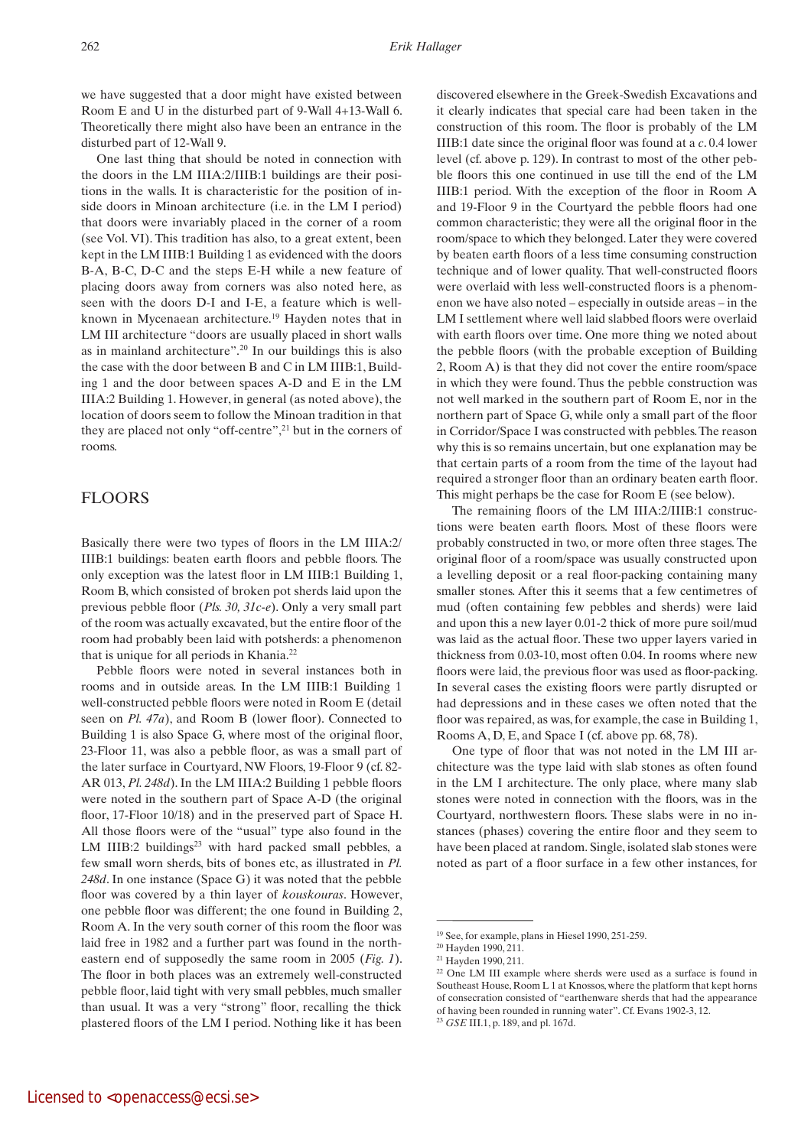we have suggested that a door might have existed between Room E and U in the disturbed part of 9-Wall 4+13-Wall 6. Theoretically there might also have been an entrance in the disturbed part of 12-Wall 9.

One last thing that should be noted in connection with the doors in the LM IIIA:2/IIIB:1 buildings are their positions in the walls. It is characteristic for the position of inside doors in Minoan architecture (i.e. in the LM I period) that doors were invariably placed in the corner of a room (see Vol. VI). This tradition has also, to a great extent, been kept in the LM IIIB:1 Building 1 as evidenced with the doors B-A, B-C, D-C and the steps E-H while a new feature of placing doors away from corners was also noted here, as seen with the doors D-I and I-E, a feature which is wellknown in Mycenaean architecture.<sup>19</sup> Hayden notes that in LM III architecture "doors are usually placed in short walls as in mainland architecture".<sup>20</sup> In our buildings this is also the case with the door between B and C in LM IIIB:1, Building 1 and the door between spaces A-D and E in the LM IIIA:2 Building 1. However, in general (as noted above), the location of doors seem to follow the Minoan tradition in that they are placed not only "off-centre",<sup>21</sup> but in the corners of rooms.

## **FLOORS**

Basically there were two types of floors in the LM IIIA:2/ IIIB:1 buildings: beaten earth floors and pebble floors. The only exception was the latest floor in LM IIIB:1 Building 1, Room B, which consisted of broken pot sherds laid upon the previous pebble floor (*Pls. 30, 31c-e*). Only a very small part of the room was actually excavated, but the entire floor of the room had probably been laid with potsherds: a phenomenon that is unique for all periods in Khania.<sup>22</sup>

Pebble floors were noted in several instances both in rooms and in outside areas. In the LM IIIB:1 Building 1 well-constructed pebble floors were noted in Room E (detail seen on *Pl. 47a*), and Room B (lower floor). Connected to Building 1 is also Space G, where most of the original floor, 23-Floor 11, was also a pebble floor, as was a small part of the later surface in Courtyard, NW Floors, 19-Floor 9 (cf. 82- AR 013, *Pl. 248d*). In the LM IIIA:2 Building 1 pebble floors were noted in the southern part of Space A-D (the original floor, 17-Floor 10/18) and in the preserved part of Space H. All those floors were of the "usual" type also found in the LM IIIB:2 buildings $^{23}$  with hard packed small pebbles, a few small worn sherds, bits of bones etc, as illustrated in *Pl. 248d*. In one instance (Space G) it was noted that the pebble floor was covered by a thin layer of *kouskouras*. However, one pebble floor was different; the one found in Building 2, Room A. In the very south corner of this room the floor was laid free in 1982 and a further part was found in the northeastern end of supposedly the same room in 2005 (*Fig. 1*). The floor in both places was an extremely well-constructed pebble floor, laid tight with very small pebbles, much smaller than usual. It was a very "strong" floor, recalling the thick plastered floors of the LM I period. Nothing like it has been

discovered elsewhere in the Greek-Swedish Excavations and it clearly indicates that special care had been taken in the construction of this room. The floor is probably of the LM IIIB:1 date since the original floor was found at a *c*. 0.4 lower level (cf. above p. 129). In contrast to most of the other pebble floors this one continued in use till the end of the LM IIIB:1 period. With the exception of the floor in Room A and 19-Floor 9 in the Courtyard the pebble floors had one common characteristic; they were all the original floor in the room/space to which they belonged. Later they were covered by beaten earth floors of a less time consuming construction technique and of lower quality. That well-constructed floors were overlaid with less well-constructed floors is a phenomenon we have also noted – especially in outside areas – in the LM I settlement where well laid slabbed floors were overlaid with earth floors over time. One more thing we noted about the pebble floors (with the probable exception of Building 2, Room A) is that they did not cover the entire room/space in which they were found. Thus the pebble construction was not well marked in the southern part of Room E, nor in the northern part of Space G, while only a small part of the floor in Corridor/Space I was constructed with pebbles. The reason why this is so remains uncertain, but one explanation may be that certain parts of a room from the time of the layout had required a stronger floor than an ordinary beaten earth floor. This might perhaps be the case for Room E (see below).

The remaining floors of the LM IIIA:2/IIIB:1 constructions were beaten earth floors. Most of these floors were probably constructed in two, or more often three stages. The original floor of a room/space was usually constructed upon a levelling deposit or a real floor-packing containing many smaller stones. After this it seems that a few centimetres of mud (often containing few pebbles and sherds) were laid and upon this a new layer 0.01-2 thick of more pure soil/mud was laid as the actual floor. These two upper layers varied in thickness from 0.03-10, most often 0.04. In rooms where new floors were laid, the previous floor was used as floor-packing. In several cases the existing floors were partly disrupted or had depressions and in these cases we often noted that the floor was repaired, as was, for example, the case in Building 1, Rooms A, D, E, and Space I (cf. above pp. 68, 78).

One type of floor that was not noted in the LM III architecture was the type laid with slab stones as often found in the LM I architecture. The only place, where many slab stones were noted in connection with the floors, was in the Courtyard, northwestern floors. These slabs were in no instances (phases) covering the entire floor and they seem to have been placed at random. Single, isolated slab stones were noted as part of a floor surface in a few other instances, for

<sup>19</sup> See, for example, plans in Hiesel 1990, 251-259.

<sup>20</sup> Hayden 1990, 211.

<sup>21</sup> Hayden 1990, 211.

 $22$  One LM III example where sherds were used as a surface is found in Southeast House, Room L 1 at Knossos, where the platform that kept horns of consecration consisted of "earthenware sherds that had the appearance of having been rounded in running water". Cf. Evans 1902-3, 12.

<sup>23</sup> *GSE* III.1, p. 189, and pl. 167d.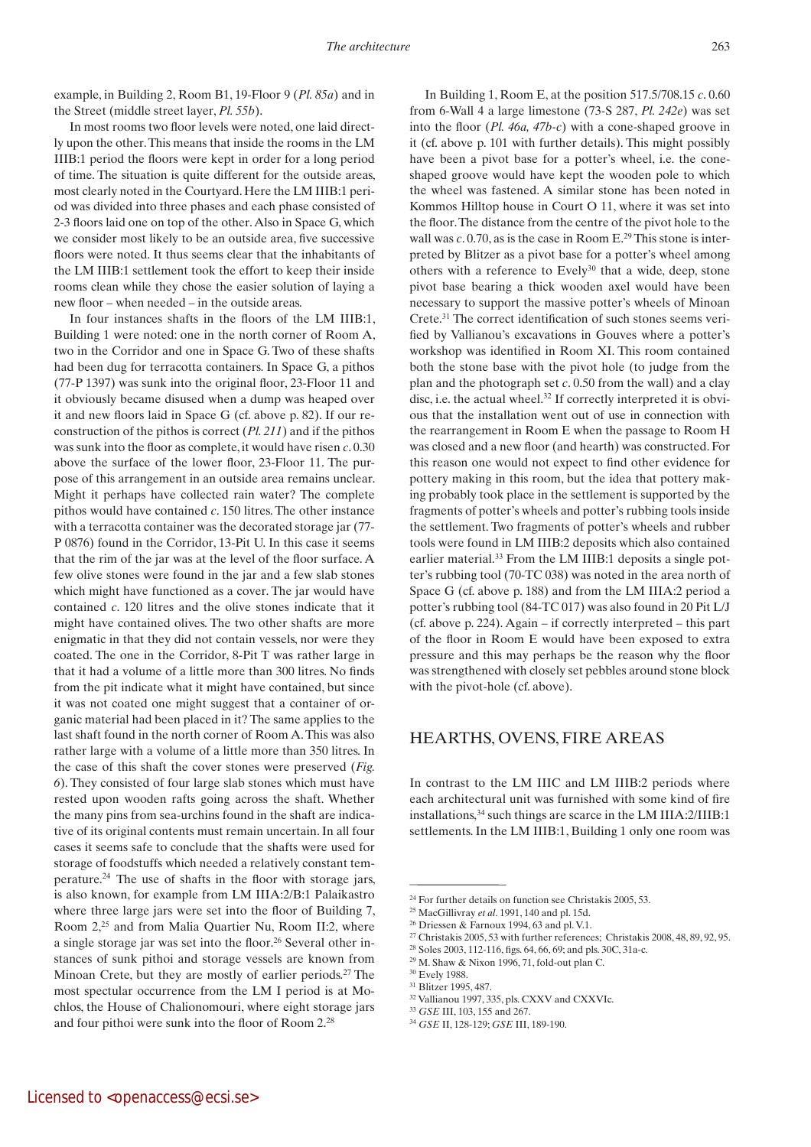example, in Building 2, Room B1, 19-Floor 9 (*Pl. 85a*) and in the Street (middle street layer, *Pl. 55b*).

In most rooms two floor levels were noted, one laid directly upon the other. This means that inside the rooms in the LM IIIB:1 period the floors were kept in order for a long period of time. The situation is quite different for the outside areas, most clearly noted in the Courtyard. Here the LM IIIB:1 period was divided into three phases and each phase consisted of 2-3 floors laid one on top of the other. Also in Space G, which we consider most likely to be an outside area, five successive floors were noted. It thus seems clear that the inhabitants of the LM IIIB:1 settlement took the effort to keep their inside rooms clean while they chose the easier solution of laying a new floor – when needed – in the outside areas.

In four instances shafts in the floors of the LM IIIB:1, Building 1 were noted: one in the north corner of Room A, two in the Corridor and one in Space G. Two of these shafts had been dug for terracotta containers. In Space G, a pithos (77-P 1397) was sunk into the original floor, 23-Floor 11 and it obviously became disused when a dump was heaped over it and new floors laid in Space G (cf. above p. 82). If our reconstruction of the pithos is correct (*Pl. 211*) and if the pithos was sunk into the floor as complete, it would have risen *c*. 0.30 above the surface of the lower floor, 23-Floor 11. The purpose of this arrangement in an outside area remains unclear. Might it perhaps have collected rain water? The complete pithos would have contained *c*. 150 litres. The other instance with a terracotta container was the decorated storage jar (77- P 0876) found in the Corridor, 13-Pit U. In this case it seems that the rim of the jar was at the level of the floor surface. A few olive stones were found in the jar and a few slab stones which might have functioned as a cover. The jar would have contained *c*. 120 litres and the olive stones indicate that it might have contained olives. The two other shafts are more enigmatic in that they did not contain vessels, nor were they coated. The one in the Corridor, 8-Pit T was rather large in that it had a volume of a little more than 300 litres. No finds from the pit indicate what it might have contained, but since it was not coated one might suggest that a container of organic material had been placed in it? The same applies to the last shaft found in the north corner of Room A. This was also rather large with a volume of a little more than 350 litres. In the case of this shaft the cover stones were preserved (*Fig. 6*). They consisted of four large slab stones which must have rested upon wooden rafts going across the shaft. Whether the many pins from sea-urchins found in the shaft are indicative of its original contents must remain uncertain. In all four cases it seems safe to conclude that the shafts were used for storage of foodstuffs which needed a relatively constant temperature.24 The use of shafts in the floor with storage jars, is also known, for example from LM IIIA:2/B:1 Palaikastro where three large jars were set into the floor of Building 7, Room 2,<sup>25</sup> and from Malia Quartier Nu, Room II:2, where a single storage jar was set into the floor.<sup>26</sup> Several other instances of sunk pithoi and storage vessels are known from Minoan Crete, but they are mostly of earlier periods.2<sup>7</sup> The most spectular occurrence from the LM I period is at Mochlos, the House of Chalionomouri, where eight storage jars and four pithoi were sunk into the floor of Room 2.28

In Building 1, Room E, at the position 517.5/708.15 *c*. 0.60 from 6-Wall 4 a large limestone (73-S 287, *Pl. 242e*) was set into the floor (*Pl. 46a, 47b-c*) with a cone-shaped groove in it (cf. above p. 101 with further details). This might possibly have been a pivot base for a potter's wheel, i.e. the coneshaped groove would have kept the wooden pole to which the wheel was fastened. A similar stone has been noted in Kommos Hilltop house in Court O 11, where it was set into the floor. The distance from the centre of the pivot hole to the wall was *c*. 0.70, as is the case in Room E.<sup>29</sup> This stone is interpreted by Blitzer as a pivot base for a potter's wheel among others with a reference to Evely<sup>30</sup> that a wide, deep, stone pivot base bearing a thick wooden axel would have been necessary to support the massive potter's wheels of Minoan Crete.31 The correct identification of such stones seems verified by Vallianou's excavations in Gouves where a potter's workshop was identified in Room XI. This room contained both the stone base with the pivot hole (to judge from the plan and the photograph set *c*. 0.50 from the wall) and a clay disc, i.e. the actual wheel.<sup>32</sup> If correctly interpreted it is obvious that the installation went out of use in connection with the rearrangement in Room E when the passage to Room H was closed and a new floor (and hearth) was constructed. For this reason one would not expect to find other evidence for pottery making in this room, but the idea that pottery making probably took place in the settlement is supported by the fragments of potter's wheels and potter's rubbing tools inside the settlement. Two fragments of potter's wheels and rubber tools were found in LM IIIB:2 deposits which also contained earlier material.<sup>33</sup> From the LM IIIB:1 deposits a single potter's rubbing tool (70-TC 038) was noted in the area north of Space G (cf. above p. 188) and from the LM IIIA:2 period a potter's rubbing tool (84-TC 017) was also found in 20 Pit L/J (cf. above p. 224). Again – if correctly interpreted – this part of the floor in Room E would have been exposed to extra pressure and this may perhaps be the reason why the floor was strengthened with closely set pebbles around stone block with the pivot-hole (cf. above).

# Hearths, ovens, fire areas

In contrast to the LM IIIC and LM IIIB:2 periods where each architectural unit was furnished with some kind of fire installations,<sup>34</sup> such things are scarce in the LM IIIA:2/IIIB:1 settlements. In the LM IIIB:1, Building 1 only one room was

<sup>24</sup> For further details on function see Christakis 2005, 53.

<sup>25</sup> MacGillivray *et al*. 1991, 140 and pl. 15d.

<sup>26</sup> Driessen & Farnoux 1994, 63 and pl. V.1.

<sup>&</sup>lt;sup>27</sup> Christakis 2005, 53 with further references; Christakis 2008, 48, 89, 92, 95.

<sup>28</sup> Soles 2003, 112-116, figs. 64, 66, 69; and pls. 30C, 31a-c.

<sup>29</sup> M. Shaw & Nixon 1996, 71, fold-out plan C.

<sup>30</sup> Evely 1988.

<sup>31</sup> Blitzer 1995, 487.

<sup>32</sup> Vallianou 1997, 335, pls. CXXV and CXXVIc.

<sup>33</sup> *GSE* III, 103, 155 and 267.

<sup>34</sup> *GSE* II, 128-129; *GSE* III, 189-190.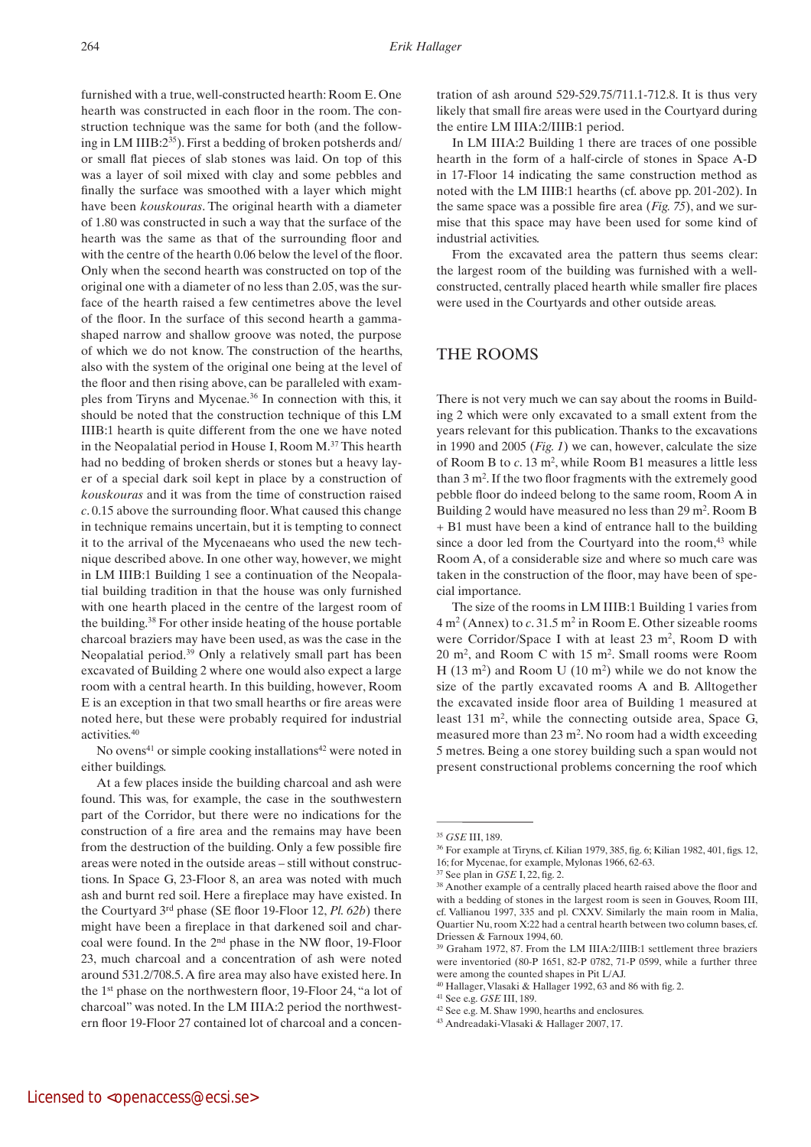furnished with a true, well-constructed hearth: Room E. One hearth was constructed in each floor in the room. The construction technique was the same for both (and the following in LM IIIB:2<sup>35</sup>). First a bedding of broken potsherds and/ or small flat pieces of slab stones was laid. On top of this was a layer of soil mixed with clay and some pebbles and finally the surface was smoothed with a layer which might have been *kouskouras*. The original hearth with a diameter of 1.80 was constructed in such a way that the surface of the hearth was the same as that of the surrounding floor and with the centre of the hearth 0.06 below the level of the floor. Only when the second hearth was constructed on top of the original one with a diameter of no less than 2.05, was the surface of the hearth raised a few centimetres above the level of the floor. In the surface of this second hearth a gammashaped narrow and shallow groove was noted, the purpose of which we do not know. The construction of the hearths, also with the system of the original one being at the level of the floor and then rising above, can be paralleled with examples from Tiryns and Mycenae.<sup>36</sup> In connection with this, it should be noted that the construction technique of this LM IIIB:1 hearth is quite different from the one we have noted in the Neopalatial period in House I, Room M.<sup>37</sup> This hearth had no bedding of broken sherds or stones but a heavy layer of a special dark soil kept in place by a construction of *kouskouras* and it was from the time of construction raised *c*. 0.15 above the surrounding floor. What caused this change in technique remains uncertain, but it is tempting to connect it to the arrival of the Mycenaeans who used the new technique described above. In one other way, however, we might in LM IIIB:1 Building 1 see a continuation of the Neopalatial building tradition in that the house was only furnished with one hearth placed in the centre of the largest room of the building.<sup>38</sup> For other inside heating of the house portable charcoal braziers may have been used, as was the case in the Neopalatial period.<sup>39</sup> Only a relatively small part has been excavated of Building 2 where one would also expect a large room with a central hearth. In this building, however, Room E is an exception in that two small hearths or fire areas were noted here, but these were probably required for industrial activities.<sup>40</sup>

No ovens<sup>41</sup> or simple cooking installations<sup>42</sup> were noted in either buildings.

At a few places inside the building charcoal and ash were found. This was, for example, the case in the southwestern part of the Corridor, but there were no indications for the construction of a fire area and the remains may have been from the destruction of the building. Only a few possible fire areas were noted in the outside areas – still without constructions. In Space G, 23-Floor 8, an area was noted with much ash and burnt red soil. Here a fireplace may have existed. In the Courtyard 3rd phase (SE floor 19-Floor 12, *Pl. 62b*) there might have been a fireplace in that darkened soil and charcoal were found. In the 2nd phase in the NW floor, 19-Floor 23, much charcoal and a concentration of ash were noted around 531.2/708.5. A fire area may also have existed here. In the 1st phase on the northwestern floor, 19-Floor 24, "a lot of charcoal" was noted. In the LM IIIA:2 period the northwestern floor 19-Floor 27 contained lot of charcoal and a concentration of ash around 529-529.75/711.1-712.8. It is thus very likely that small fire areas were used in the Courtyard during the entire LM IIIA:2/IIIB:1 period.

In LM IIIA:2 Building 1 there are traces of one possible hearth in the form of a half-circle of stones in Space A-D in 17-Floor 14 indicating the same construction method as noted with the LM IIIB:1 hearths (cf. above pp. 201-202). In the same space was a possible fire area (*Fig. 75*), and we surmise that this space may have been used for some kind of industrial activities.

From the excavated area the pattern thus seems clear: the largest room of the building was furnished with a wellconstructed, centrally placed hearth while smaller fire places were used in the Courtyards and other outside areas.

### The rooms

There is not very much we can say about the rooms in Building 2 which were only excavated to a small extent from the years relevant for this publication. Thanks to the excavations in 1990 and 2005 (*Fig. 1*) we can, however, calculate the size of Room B to *c*. 13 m2, while Room B1 measures a little less than 3 m2 . If the two floor fragments with the extremely good pebble floor do indeed belong to the same room, Room A in Building 2 would have measured no less than 29 m<sup>2</sup>. Room B + B1 must have been a kind of entrance hall to the building since a door led from the Courtyard into the room,<sup>43</sup> while Room A, of a considerable size and where so much care was taken in the construction of the floor, may have been of special importance.

The size of the rooms in LM IIIB:1 Building 1 varies from 4 m2 (Annex) to *c*. 31.5 m2 in Room E. Other sizeable rooms were Corridor/Space I with at least 23 m<sup>2</sup>, Room D with 20 m2, and Room C with 15 m2. Small rooms were Room H  $(13 \text{ m}^2)$  and Room U  $(10 \text{ m}^2)$  while we do not know the size of the partly excavated rooms A and B. Alltogether the excavated inside floor area of Building 1 measured at least 131 m<sup>2</sup>, while the connecting outside area, Space G, measured more than  $23 \text{ m}^2$ . No room had a width exceeding 5 metres. Being a one storey building such a span would not present constructional problems concerning the roof which

<sup>35</sup> *GSE* III, 189.

<sup>36</sup> For example at Tiryns, cf. Kilian 1979, 385, fig. 6; Kilian 1982, 401, figs. 12, 16; for Mycenae, for example, Mylonas 1966, 62-63.

<sup>37</sup> See plan in *GSE* I, 22, fig. 2.

<sup>&</sup>lt;sup>38</sup> Another example of a centrally placed hearth raised above the floor and with a bedding of stones in the largest room is seen in Gouves, Room III, cf. Vallianou 1997, 335 and pl. CXXV. Similarly the main room in Malia, Quartier Nu, room X:22 had a central hearth between two column bases, cf. Driessen & Farnoux 1994, 60.

<sup>39</sup> Graham 1972, 87. From the LM IIIA:2/IIIB:1 settlement three braziers were inventoried (80-P 1651, 82-P 0782, 71-P 0599, while a further three were among the counted shapes in Pit L/AJ.

<sup>40</sup> Hallager, Vlasaki & Hallager 1992, 63 and 86 with fig. 2.

<sup>41</sup> See e.g. *GSE* III, 189.

<sup>42</sup> See e.g. M. Shaw 1990, hearths and enclosures.

<sup>43</sup> Andreadaki-Vlasaki & Hallager 2007, 17.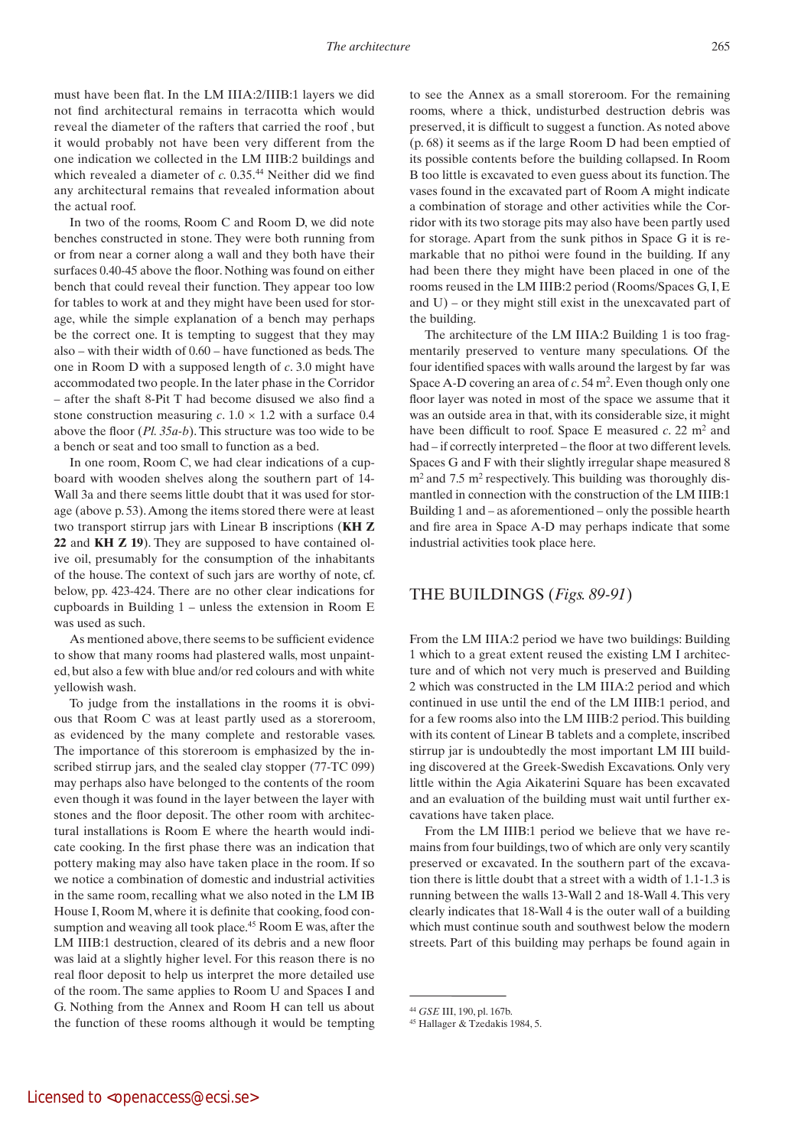must have been flat. In the LM IIIA:2/IIIB:1 layers we did not find architectural remains in terracotta which would reveal the diameter of the rafters that carried the roof , but it would probably not have been very different from the one indication we collected in the LM IIIB:2 buildings and which revealed a diameter of *c*. 0.35.<sup>44</sup> Neither did we find any architectural remains that revealed information about the actual roof.

In two of the rooms, Room C and Room D, we did note benches constructed in stone. They were both running from or from near a corner along a wall and they both have their surfaces 0.40-45 above the floor. Nothing was found on either bench that could reveal their function. They appear too low for tables to work at and they might have been used for storage, while the simple explanation of a bench may perhaps be the correct one. It is tempting to suggest that they may also – with their width of 0.60 – have functioned as beds. The one in Room D with a supposed length of *c*. 3.0 might have accommodated two people. In the later phase in the Corridor – after the shaft 8-Pit T had become disused we also find a stone construction measuring  $c$ .  $1.0 \times 1.2$  with a surface 0.4 above the floor (*Pl. 35a-b*). This structure was too wide to be a bench or seat and too small to function as a bed.

In one room, Room C, we had clear indications of a cupboard with wooden shelves along the southern part of 14- Wall 3a and there seems little doubt that it was used for storage (above p. 53). Among the items stored there were at least two transport stirrup jars with Linear B inscriptions (**KH Z 22** and **KH Z 19**). They are supposed to have contained olive oil, presumably for the consumption of the inhabitants of the house. The context of such jars are worthy of note, cf. below, pp. 423-424. There are no other clear indications for cupboards in Building  $1$  – unless the extension in Room  $E$ was used as such.

As mentioned above, there seems to be sufficient evidence to show that many rooms had plastered walls, most unpainted, but also a few with blue and/or red colours and with white yellowish wash.

To judge from the installations in the rooms it is obvious that Room C was at least partly used as a storeroom, as evidenced by the many complete and restorable vases. The importance of this storeroom is emphasized by the inscribed stirrup jars, and the sealed clay stopper (77-TC 099) may perhaps also have belonged to the contents of the room even though it was found in the layer between the layer with stones and the floor deposit. The other room with architectural installations is Room E where the hearth would indicate cooking. In the first phase there was an indication that pottery making may also have taken place in the room. If so we notice a combination of domestic and industrial activities in the same room, recalling what we also noted in the LM IB House I, Room M, where it is definite that cooking, food consumption and weaving all took place.<sup>45</sup> Room E was, after the LM IIIB:1 destruction, cleared of its debris and a new floor was laid at a slightly higher level. For this reason there is no real floor deposit to help us interpret the more detailed use of the room. The same applies to Room U and Spaces I and G. Nothing from the Annex and Room H can tell us about the function of these rooms although it would be tempting

to see the Annex as a small storeroom. For the remaining rooms, where a thick, undisturbed destruction debris was preserved, it is difficult to suggest a function. As noted above (p. 68) it seems as if the large Room D had been emptied of its possible contents before the building collapsed. In Room B too little is excavated to even guess about its function. The vases found in the excavated part of Room A might indicate a combination of storage and other activities while the Corridor with its two storage pits may also have been partly used for storage. Apart from the sunk pithos in Space G it is remarkable that no pithoi were found in the building. If any had been there they might have been placed in one of the rooms reused in the LM IIIB:2 period (Rooms/Spaces G, I, E and U) – or they might still exist in the unexcavated part of the building.

The architecture of the LM IIIA:2 Building 1 is too fragmentarily preserved to venture many speculations. Of the four identified spaces with walls around the largest by far was Space A-D covering an area of c. 54 m<sup>2</sup>. Even though only one floor layer was noted in most of the space we assume that it was an outside area in that, with its considerable size, it might have been difficult to roof. Space  $E$  measured  $c$ , 22 m<sup>2</sup> and had – if correctly interpreted – the floor at two different levels. Spaces G and F with their slightly irregular shape measured 8  $m<sup>2</sup>$  and 7.5 m<sup>2</sup> respectively. This building was thoroughly dismantled in connection with the construction of the LM IIIB:1 Building 1 and – as aforementioned – only the possible hearth and fire area in Space A-D may perhaps indicate that some industrial activities took place here.

### The Buildings (*Figs. 89-91*)

From the LM IIIA:2 period we have two buildings: Building 1 which to a great extent reused the existing LM I architecture and of which not very much is preserved and Building 2 which was constructed in the LM IIIA:2 period and which continued in use until the end of the LM IIIB:1 period, and for a few rooms also into the LM IIIB:2 period. This building with its content of Linear B tablets and a complete, inscribed stirrup jar is undoubtedly the most important LM III building discovered at the Greek-Swedish Excavations. Only very little within the Agia Aikaterini Square has been excavated and an evaluation of the building must wait until further excavations have taken place.

From the LM IIIB:1 period we believe that we have remains from four buildings, two of which are only very scantily preserved or excavated. In the southern part of the excavation there is little doubt that a street with a width of 1.1-1.3 is running between the walls 13-Wall 2 and 18-Wall 4. This very clearly indicates that 18-Wall 4 is the outer wall of a building which must continue south and southwest below the modern streets. Part of this building may perhaps be found again in

<sup>44</sup> *GSE* III, 190, pl. 167b.

<sup>45</sup> Hallager & Tzedakis 1984, 5.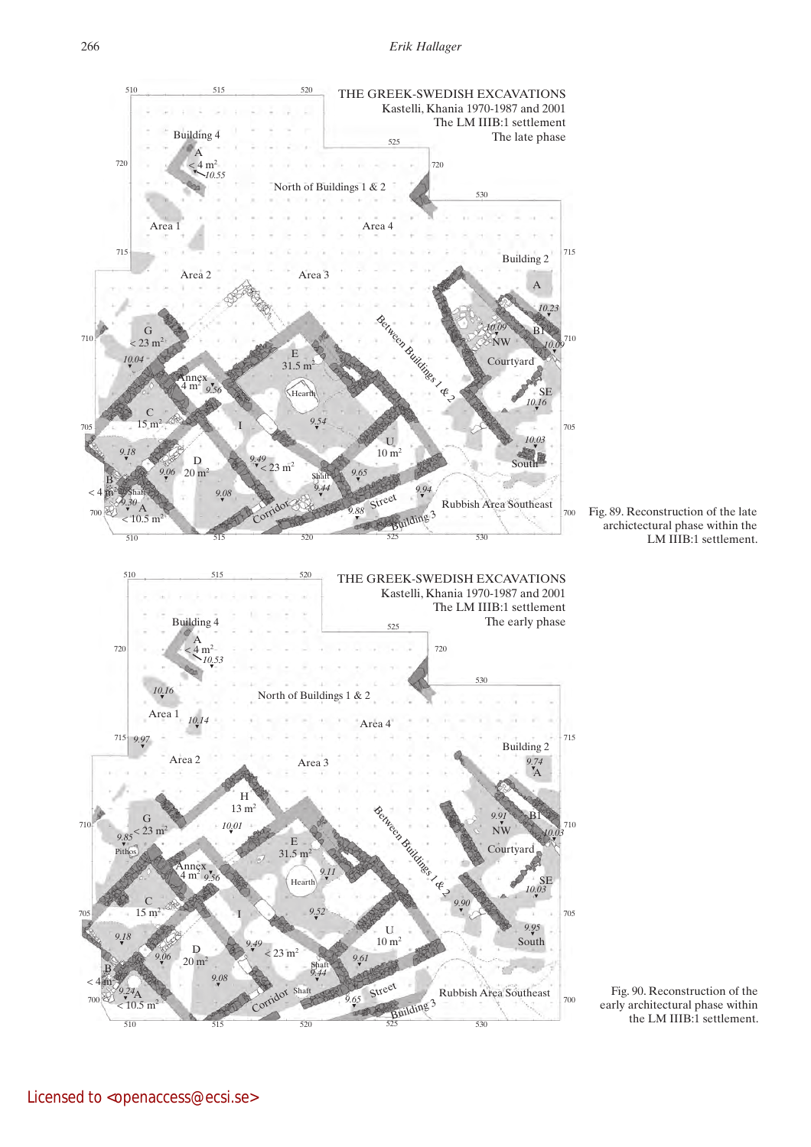

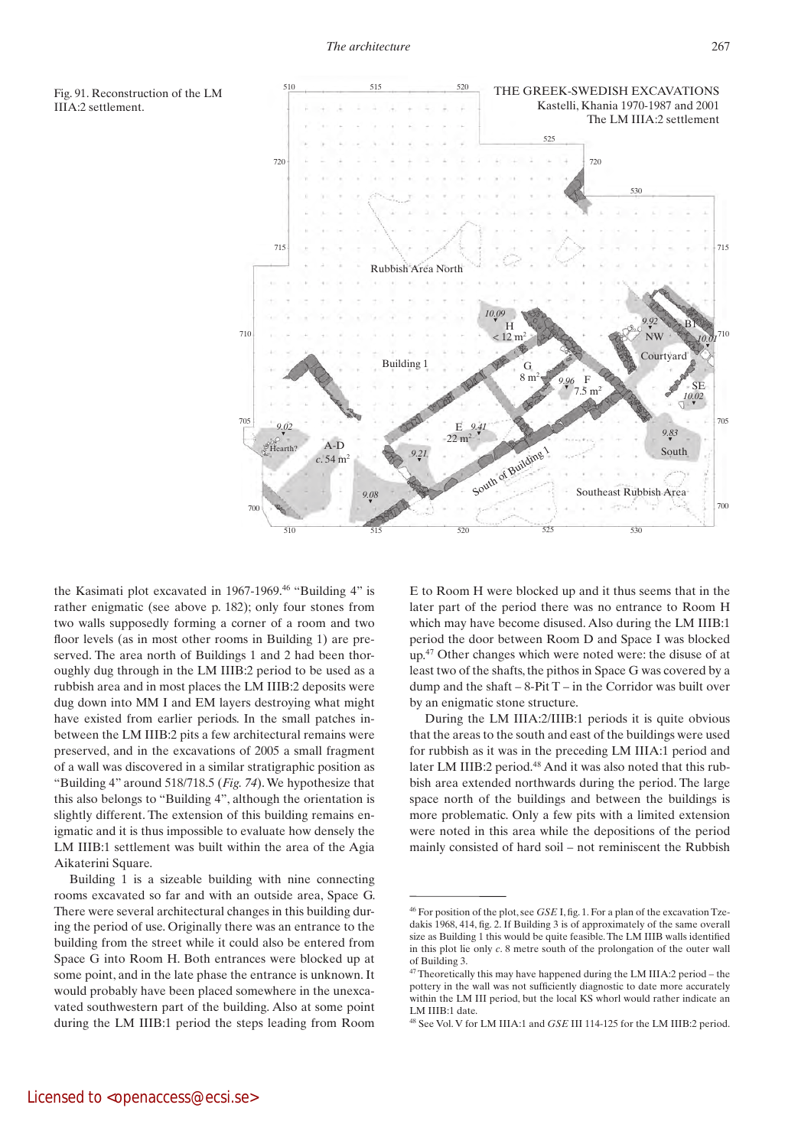



the Kasimati plot excavated in 1967-1969.<sup>46</sup> "Building 4" is rather enigmatic (see above p. 182); only four stones from two walls supposedly forming a corner of a room and two floor levels (as in most other rooms in Building 1) are preserved. The area north of Buildings 1 and 2 had been thoroughly dug through in the LM IIIB:2 period to be used as a rubbish area and in most places the LM IIIB:2 deposits were dug down into MM I and EM layers destroying what might have existed from earlier periods. In the small patches inbetween the LM IIIB:2 pits a few architectural remains were preserved, and in the excavations of 2005 a small fragment of a wall was discovered in a similar stratigraphic position as "Building 4" around 518/718.5 (*Fig. 74*). We hypothesize that this also belongs to "Building 4", although the orientation is slightly different. The extension of this building remains enigmatic and it is thus impossible to evaluate how densely the LM IIIB:1 settlement was built within the area of the Agia Aikaterini Square.

Building 1 is a sizeable building with nine connecting rooms excavated so far and with an outside area, Space G. There were several architectural changes in this building during the period of use. Originally there was an entrance to the building from the street while it could also be entered from Space G into Room H. Both entrances were blocked up at some point, and in the late phase the entrance is unknown. It would probably have been placed somewhere in the unexcavated southwestern part of the building. Also at some point during the LM IIIB:1 period the steps leading from Room

E to Room H were blocked up and it thus seems that in the later part of the period there was no entrance to Room H which may have become disused. Also during the LM IIIB:1 period the door between Room D and Space I was blocked up.<sup>47</sup> Other changes which were noted were: the disuse of at least two of the shafts, the pithos in Space G was covered by a dump and the shaft  $-8-PitT - in$  the Corridor was built over by an enigmatic stone structure.

During the LM IIIA:2/IIIB:1 periods it is quite obvious that the areas to the south and east of the buildings were used for rubbish as it was in the preceding LM IIIA:1 period and later LM IIIB:2 period.<sup>48</sup> And it was also noted that this rubbish area extended northwards during the period. The large space north of the buildings and between the buildings is more problematic. Only a few pits with a limited extension were noted in this area while the depositions of the period mainly consisted of hard soil – not reminiscent the Rubbish

<sup>46</sup> For position of the plot, see *GSE* I, fig. 1. For a plan of the excavation Tzedakis 1968, 414, fig. 2. If Building 3 is of approximately of the same overall size as Building 1 this would be quite feasible. The LM IIIB walls identified in this plot lie only *c*. 8 metre south of the prolongation of the outer wall of Building 3.

<sup>47</sup> Theoretically this may have happened during the LM IIIA:2 period – the pottery in the wall was not sufficiently diagnostic to date more accurately within the LM III period, but the local KS whorl would rather indicate an LM IIIB:1 date.

<sup>48</sup> See Vol. V for LM IIIA:1 and *GSE* III 114-125 for the LM IIIB:2 period.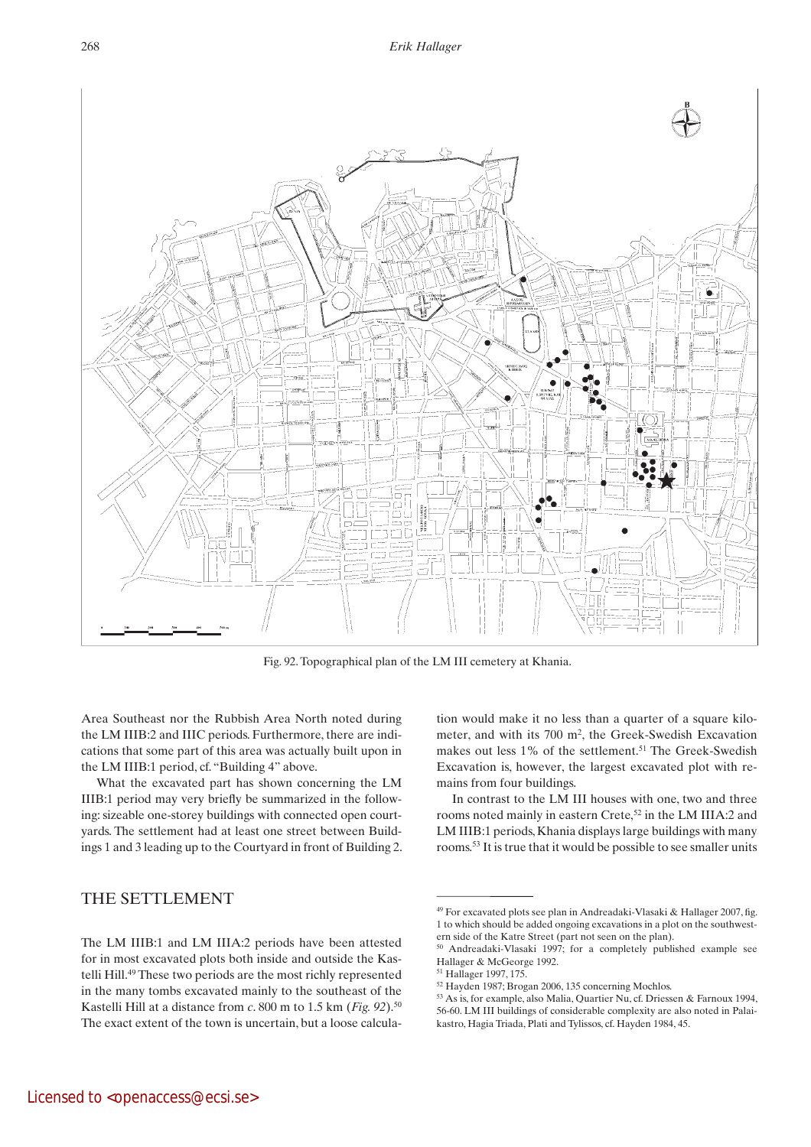

Fig. 92. Topographical plan of the LM III cemetery at Khania.

Area Southeast nor the Rubbish Area North noted during the LM IIIB:2 and IIIC periods. Furthermore, there are indications that some part of this area was actually built upon in the LM IIIB:1 period, cf. "Building 4" above.

What the excavated part has shown concerning the LM IIIB:1 period may very briefly be summarized in the following: sizeable one-storey buildings with connected open courtyards. The settlement had at least one street between Buildings 1 and 3 leading up to the Courtyard in front of Building 2.

#### The settlement

tion would make it no less than a quarter of a square kilometer, and with its 700 m2, the Greek-Swedish Excavation makes out less 1% of the settlement.<sup>51</sup> The Greek-Swedish Excavation is, however, the largest excavated plot with remains from four buildings.

In contrast to the LM III houses with one, two and three rooms noted mainly in eastern Crete,<sup>52</sup> in the LM IIIA:2 and LM IIIB:1 periods, Khania displays large buildings with many rooms.<sup>53</sup> It is true that it would be possible to see smaller units

The LM IIIB:1 and LM IIIA:2 periods have been attested for in most excavated plots both inside and outside the Kastelli Hill.<sup>49</sup> These two periods are the most richly represented in the many tombs excavated mainly to the southeast of the Kastelli Hill at a distance from *c*. 800 m to 1.5 km (*Fig. 92*).<sup>50</sup> The exact extent of the town is uncertain, but a loose calcula-

<sup>49</sup> For excavated plots see plan in Andreadaki-Vlasaki & Hallager 2007, fig. 1 to which should be added ongoing excavations in a plot on the southwestern side of the Katre Street (part not seen on the plan).

<sup>50</sup> Andreadaki-Vlasaki 1997; for a completely published example see Hallager & McGeorge 1992.

<sup>51</sup> Hallager 1997, 175.

<sup>52</sup> Hayden 1987; Brogan 2006, 135 concerning Mochlos.

<sup>53</sup> As is, for example, also Malia, Quartier Nu, cf. Driessen & Farnoux 1994, 56-60. LM III buildings of considerable complexity are also noted in Palaikastro, Hagia Triada, Plati and Tylissos, cf. Hayden 1984, 45.